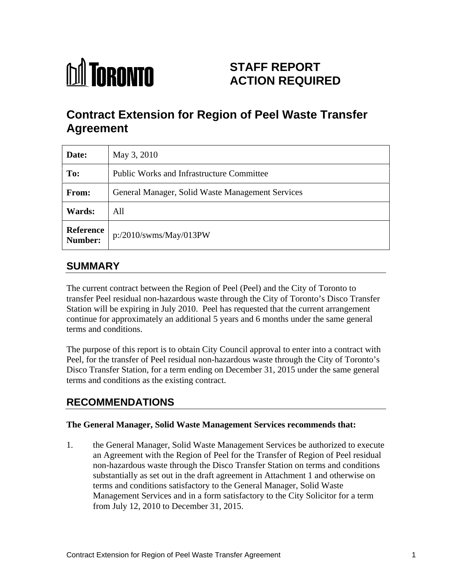

# **STAFF REPORT ACTION REQUIRED**

# **Contract Extension for Region of Peel Waste Transfer Agreement**

|            | <b>Date:</b>   May 3, 2010                       |
|------------|--------------------------------------------------|
| To:        | Public Works and Infrastructure Committee        |
| From:      | General Manager, Solid Waste Management Services |
| Wards: All |                                                  |
|            | Reference<br>Number: p:/2010/swms/May/013PW      |

## **SUMMARY**

The current contract between the Region of Peel (Peel) and the City of Toronto to transfer Peel residual non-hazardous waste through the City of Toronto's Disco Transfer Station will be expiring in July 2010. Peel has requested that the current arrangement continue for approximately an additional 5 years and 6 months under the same general terms and conditions.

The purpose of this report is to obtain City Council approval to enter into a contract with Peel, for the transfer of Peel residual non-hazardous waste through the City of Toronto's Disco Transfer Station, for a term ending on December 31, 2015 under the same general terms and conditions as the existing contract.

# **RECOMMENDATIONS**

#### **The General Manager, Solid Waste Management Services recommends that:**

1. the General Manager, Solid Waste Management Services be authorized to execute an Agreement with the Region of Peel for the Transfer of Region of Peel residual non-hazardous waste through the Disco Transfer Station on terms and conditions substantially as set out in the draft agreement in Attachment 1 and otherwise on terms and conditions satisfactory to the General Manager, Solid Waste Management Services and in a form satisfactory to the City Solicitor for a term from July 12, 2010 to December 31, 2015.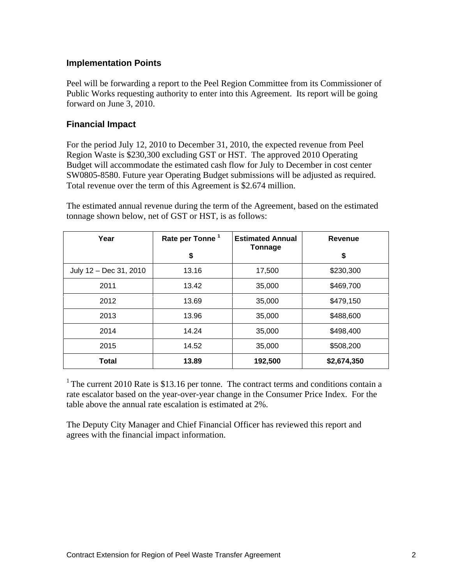#### **Implementation Points**

Peel will be forwarding a report to the Peel Region Committee from its Commissioner of Public Works requesting authority to enter into this Agreement. Its report will be going forward on June 3, 2010.

#### **Financial Impact**

For the period July 12, 2010 to December 31, 2010, the expected revenue from Peel Region Waste is \$230,300 excluding GST or HST. The approved 2010 Operating Budget will accommodate the estimated cash flow for July to December in cost center SW0805-8580. Future year Operating Budget submissions will be adjusted as required. Total revenue over the term of this Agreement is \$2.674 million.

The estimated annual revenue during the term of the Agreement, based on the estimated tonnage shown below, net of GST or HST, is as follows:

| Year                   | Rate per Tonne <sup>1</sup> | <b>Estimated Annual</b> | Revenue     |
|------------------------|-----------------------------|-------------------------|-------------|
|                        |                             | Tonnage                 |             |
| July 12 – Dec 31, 2010 | 13.16                       | 17,500                  | \$230,300   |
| 2011                   | 13.42                       | 35,000                  | \$469,700   |
| 2012                   | 13.69                       | 35,000                  | \$479,150   |
| 2013                   | 13.96                       | 35,000                  | \$488,600   |
| 2014                   | 14.24                       | 35,000                  | \$498,400   |
| 2015                   | 14.52                       | 35,000                  | \$508,200   |
| <b>Total</b>           | 13.89                       | 192,500                 | \$2,674,350 |

<sup>1</sup> The current 2010 Rate is \$13.16 per tonne. The contract terms and conditions contain a rate escalator based on the year-over-year change in the Consumer Price Index. For the table above the annual rate escalation is estimated at 2%.

The Deputy City Manager and Chief Financial Officer has reviewed this report and agrees with the financial impact information.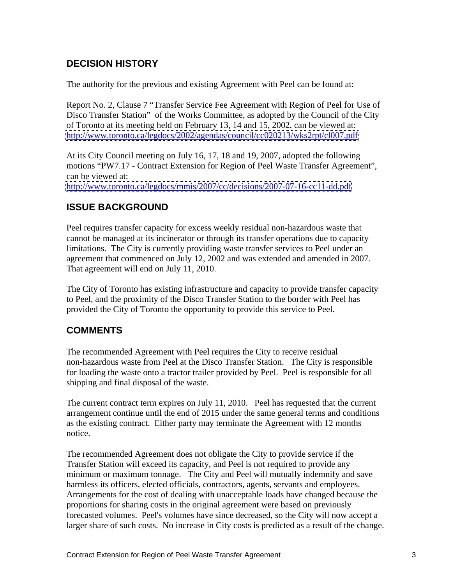## **DECISION HISTORY**

The authority for the previous and existing Agreement with Peel can be found at:

Report No. 2, Clause 7 "Transfer Service Fee Agreement with Region of Peel for Use of Disco Transfer Station" of the Works Committee, as adopted by the Council of the City of Toronto at its meeting held on February 13, 14 and 15, 2002, can be viewed at: <http://www.toronto.ca/legdocs/2002/agendas/council/cc020213/wks2rpt/cl007.pdf>

At its City Council meeting on July 16, 17, 18 and 19, 2007, adopted the following motions "PW7.17 - Contract Extension for Region of Peel Waste Transfer Agreement", can be viewed at:

<http://www.toronto.ca/legdocs/mmis/2007/cc/decisions/2007-07-16-cc11-dd.pdf>

### **ISSUE BACKGROUND**

Peel requires transfer capacity for excess weekly residual non-hazardous waste that cannot be managed at its incinerator or through its transfer operations due to capacity limitations. The City is currently providing waste transfer services to Peel under an agreement that commenced on July 12, 2002 and was extended and amended in 2007. That agreement will end on July 11, 2010.

The City of Toronto has existing infrastructure and capacity to provide transfer capacity to Peel, and the proximity of the Disco Transfer Station to the border with Peel has provided the City of Toronto the opportunity to provide this service to Peel.

### **COMMENTS**

The recommended Agreement with Peel requires the City to receive residual non-hazardous waste from Peel at the Disco Transfer Station. The City is responsible for loading the waste onto a tractor trailer provided by Peel. Peel is responsible for all shipping and final disposal of the waste.

The current contract term expires on July 11, 2010. Peel has requested that the current arrangement continue until the end of 2015 under the same general terms and conditions as the existing contract. Either party may terminate the Agreement with 12 months notice.

The recommended Agreement does not obligate the City to provide service if the Transfer Station will exceed its capacity, and Peel is not required to provide any minimum or maximum tonnage. The City and Peel will mutually indemnify and save harmless its officers, elected officials, contractors, agents, servants and employees. Arrangements for the cost of dealing with unacceptable loads have changed because the proportions for sharing costs in the original agreement were based on previously forecasted volumes. Peel's volumes have since decreased, so the City will now accept a larger share of such costs. No increase in City costs is predicted as a result of the change.